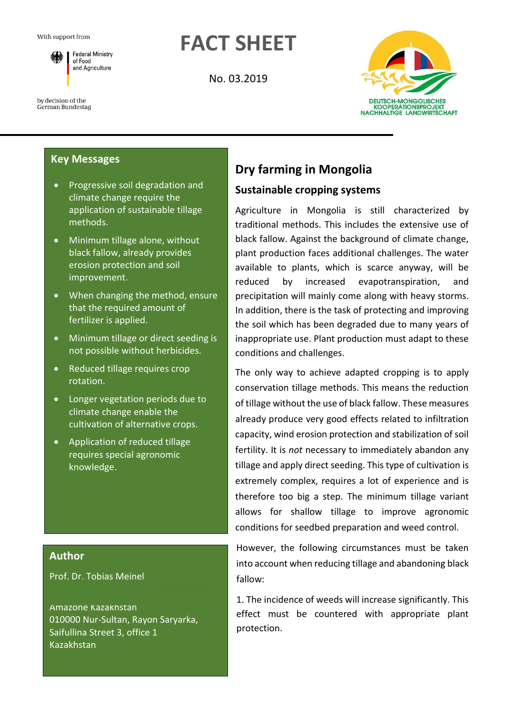by decision of the

German Bundestag

**FACT SHEET**

No. 03.2019



# **Key Messages**

**Federal Ministry** of Food and Agriculture

- Progressive soil degradation and climate change require the application of sustainable tillage methods.
- Minimum tillage alone, without black fallow, already provides erosion protection and soil improvement.
- When changing the method, ensure that the required amount of fertilizer is applied.
- Minimum tillage or direct seeding is not possible without herbicides.
- Reduced tillage requires crop rotation.
- Longer vegetation periods due to climate change enable the cultivation of alternative crops.
- Application of reduced tillage requires special agronomic knowledge.

#### **Author**

Prof. Dr. Tobias Meinel

Amazone Kazakhstan 010000 Nur-Sultan, Rayon Saryarka, Saifullina Street 3, office 1 Kazakhstan

# **Dry farming in Mongolia**

### **Sustainable cropping systems**

Agriculture in Mongolia is still characterized by traditional methods. This includes the extensive use of black fallow. Against the background of climate change, plant production faces additional challenges. The water available to plants, which is scarce anyway, will be reduced by increased evapotranspiration, and precipitation will mainly come along with heavy storms. In addition, there is the task of protecting and improving the soil which has been degraded due to many years of inappropriate use. Plant production must adapt to these conditions and challenges.

The only way to achieve adapted cropping is to apply conservation tillage methods. This means the reduction of tillage without the use of black fallow. These measures already produce very good effects related to infiltration capacity, wind erosion protection and stabilization of soil fertility. It is *not* necessary to immediately abandon any tillage and apply direct seeding. This type of cultivation is extremely complex, requires a lot of experience and is therefore too big a step. The minimum tillage variant allows for shallow tillage to improve agronomic conditions for seedbed preparation and weed control.

However, the following circumstances must be taken into account when reducing tillage and abandoning black fallow:

1. The incidence of weeds will increase significantly. This effect must be countered with appropriate plant protection.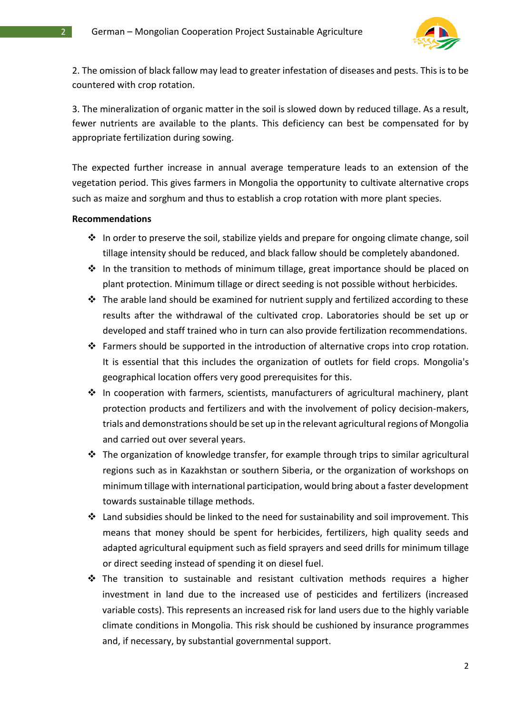

2. The omission of black fallow may lead to greater infestation of diseases and pests. This is to be countered with crop rotation.

3. The mineralization of organic matter in the soil is slowed down by reduced tillage. As a result, fewer nutrients are available to the plants. This deficiency can best be compensated for by appropriate fertilization during sowing.

The expected further increase in annual average temperature leads to an extension of the vegetation period. This gives farmers in Mongolia the opportunity to cultivate alternative crops such as maize and sorghum and thus to establish a crop rotation with more plant species.

#### **Recommendations**

- ❖ In order to preserve the soil, stabilize yields and prepare for ongoing climate change, soil tillage intensity should be reduced, and black fallow should be completely abandoned.
- ❖ In the transition to methods of minimum tillage, great importance should be placed on plant protection. Minimum tillage or direct seeding is not possible without herbicides.
- $\div$  The arable land should be examined for nutrient supply and fertilized according to these results after the withdrawal of the cultivated crop. Laboratories should be set up or developed and staff trained who in turn can also provide fertilization recommendations.
- ❖ Farmers should be supported in the introduction of alternative crops into crop rotation. It is essential that this includes the organization of outlets for field crops. Mongolia's geographical location offers very good prerequisites for this.
- ❖ In cooperation with farmers, scientists, manufacturers of agricultural machinery, plant protection products and fertilizers and with the involvement of policy decision-makers, trials and demonstrations should be set up in the relevant agricultural regions of Mongolia and carried out over several years.
- ❖ The organization of knowledge transfer, for example through trips to similar agricultural regions such as in Kazakhstan or southern Siberia, or the organization of workshops on minimum tillage with international participation, would bring about a faster development towards sustainable tillage methods.
- ❖ Land subsidies should be linked to the need for sustainability and soil improvement. This means that money should be spent for herbicides, fertilizers, high quality seeds and adapted agricultural equipment such as field sprayers and seed drills for minimum tillage or direct seeding instead of spending it on diesel fuel.
- ❖ The transition to sustainable and resistant cultivation methods requires a higher investment in land due to the increased use of pesticides and fertilizers (increased variable costs). This represents an increased risk for land users due to the highly variable climate conditions in Mongolia. This risk should be cushioned by insurance programmes and, if necessary, by substantial governmental support.